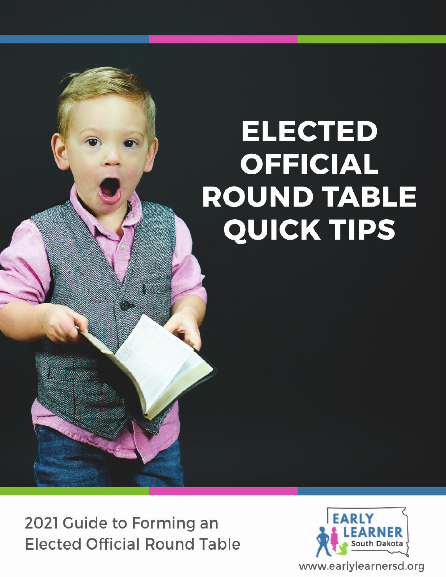# **ELECTED OFFICIAL ROUND TABLE QUICK TIPS**

2021 Guide to Forming an **Elected Official Round Table** 

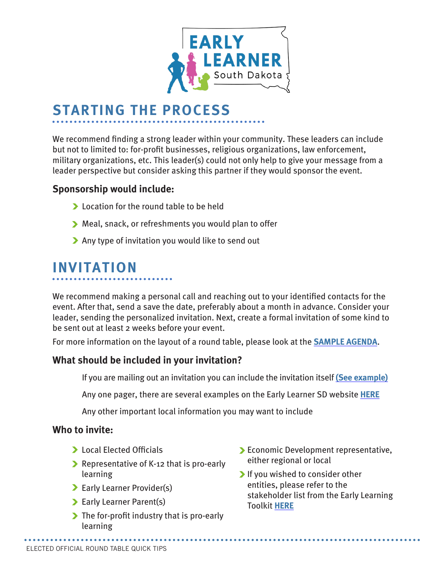

### **STARTING THE PROCESS**

We recommend finding a strong leader within your community. These leaders can include but not to limited to: for-profit businesses, religious organizations, law enforcement, military organizations, etc. This leader(s) could not only help to give your message from a leader perspective but consider asking this partner if they would sponsor the event.

#### **Sponsorship would include:**

- **Location for the round table to be held**
- Meal, snack, or refreshments you would plan to offer
- Any type of invitation you would like to send out

### **INVITATION**

We recommend making a personal call and reaching out to your identified contacts for the event. After that, send a save the date, preferably about a month in advance. Consider your leader, sending the personalized invitation. Next, create a formal invitation of some kind to be sent out at least 2 weeks before your event.

For more information on the layout of a round table, please look at the **[SAMPLE AGENDA](https://indd.adobe.com/view/333ccdb6-9ba6-498c-8772-fb9499d785b8)**.

#### **What should be included in your invitation?**

If you are mailing out an invitation you can include the invitation itself **[\(See example\)](https://indd.adobe.com/view/e00a26ef-b7f5-4a5b-8382-d6787fff209f)**

Any one pager, there are several examples on the Early Learner SD website **[HERE](https://www.earlylearnersd.org/be-informed)**

Any other important local information you may want to include

#### **Who to invite:**

- **Local Elected Officials**
- Representative of K-12 that is pro-early learning
- Early Learner Provider(s)
- **Early Learner Parent(s)**
- $\blacktriangleright$  The for-profit industry that is pro-early learning
- Economic Development representative, either regional or local
- If you wished to consider other entities, please refer to the stakeholder list from the Early Learning Toolkit **[HERE](https://www.earlylearnersd.org/toolkit)**

**\*\*\*\*\*\*\*\*\*\*\*\*\*\*\*\*\*\***\*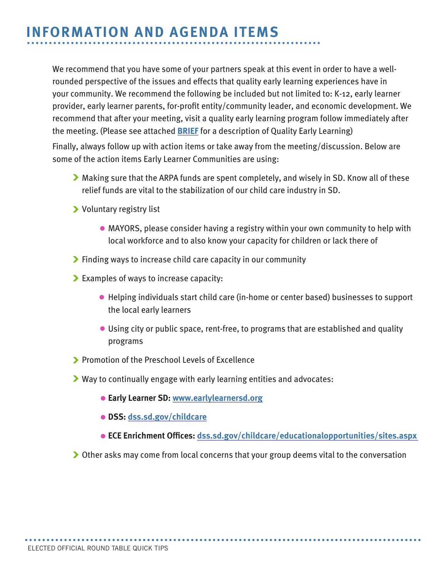### **INFORMATION AND AGENDA ITEMS**

We recommend that you have some of your partners speak at this event in order to have a wellrounded perspective of the issues and effects that quality early learning experiences have in your community. We recommend the following be included but not limited to: K-12, early learner provider, early learner parents, for-profit entity/community leader, and economic development. We recommend that after your meeting, visit a quality early learning program follow immediately after the meeting. (Please see attached **[BRIEF](https://indd.adobe.com/view/de07dabc-14b6-4556-968f-3666e88ef8f7)** for a description of Quality Early Learning)

Finally, always follow up with action items or take away from the meeting/discussion. Below are some of the action items Early Learner Communities are using:

- Making sure that the ARPA funds are spent completely, and wisely in SD. Know all of these relief funds are vital to the stabilization of our child care industry in SD.
- Voluntary registry list
	- MAYORS, please consider having a registry within your own community to help with local workforce and to also know your capacity for children or lack there of
- **Finding ways to increase child care capacity in our community**
- Examples of ways to increase capacity:
	- Helping individuals start child care (in-home or center based) businesses to support the local early learners
	- Using city or public space, rent-free, to programs that are established and quality programs
- **Promotion of the Preschool Levels of Excellence**
- Way to continually engage with early learning entities and advocates:
	- **Early Learner SD: [www.earlylearnersd.org](http://www.earlylearnersd.org)**
	- **DSS: [dss.sd.gov/childcare](http://dss.sd.gov/childcare)**
	- **ECE Enrichment Offices: [dss.sd.gov/childcare/educationalopportunities/sites.aspx](https://dss.sd.gov/childcare/educationalopportunities/sites.aspx)**
- ▶ Other asks may come from local concerns that your group deems vital to the conversation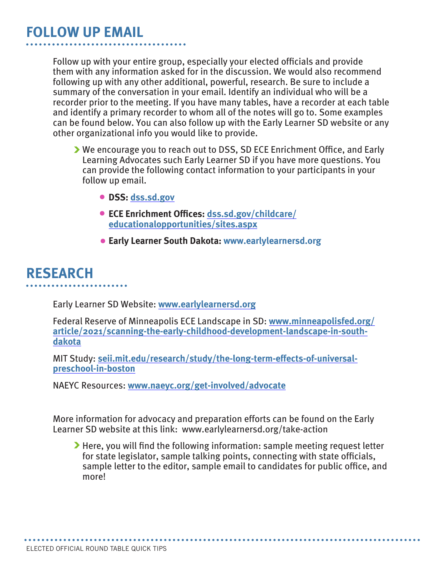#### **FOLLOW UP EMAIL**

Follow up with your entire group, especially your elected officials and provide them with any information asked for in the discussion. We would also recommend following up with any other additional, powerful, research. Be sure to include a summary of the conversation in your email. Identify an individual who will be a recorder prior to the meeting. If you have many tables, have a recorder at each table and identify a primary recorder to whom all of the notes will go to. Some examples can be found below. You can also follow up with the Early Learner SD website or any other organizational info you would like to provide.

- We encourage you to reach out to DSS, SD ECE Enrichment Office, and Early Learning Advocates such Early Learner SD if you have more questions. You can provide the following contact information to your participants in your follow up email.
	- **DSS: [dss.sd.gov](http://dss.sd.gov)**
	- **ECE Enrichment Offices: [dss.sd.gov/childcare/](http://dss.sd.gov/childcare/educationalopportunities/sites.aspx) [educationalopportunities/sites.aspx](http://dss.sd.gov/childcare/educationalopportunities/sites.aspx)**
	- **Early Learner South Dakota: www.earlylearnersd.org**

#### **RESEARCH**

Early Learner SD Website: **[www.earlylearnersd.org](http://www.earlylearnersd.org)**

Federal Reserve of Minneapolis ECE Landscape in SD: **[www.minneapolisfed.org/](https://www.minneapolisfed.org/article/2021/scanning-the-early-childhood-development-landscape-in-south-dakota) [article/2021/scanning-the-early-childhood-development-landscape-in-south](https://www.minneapolisfed.org/article/2021/scanning-the-early-childhood-development-landscape-in-south-dakota)[dakota](https://www.minneapolisfed.org/article/2021/scanning-the-early-childhood-development-landscape-in-south-dakota)**

MIT Study: **[seii.mit.edu/research/study/the-long-term-effects-of-universal](https://seii.mit.edu/research/study/the-long-term-effects-of-universal-preschool-in-boston/)[preschool-in-boston](https://seii.mit.edu/research/study/the-long-term-effects-of-universal-preschool-in-boston/)**

NAEYC Resources: **[www.naeyc.org/get-involved/advocate](http://www.naeyc.org/get-involved/advocate)**

More information for advocacy and preparation efforts can be found on the Early Learner SD website at this link: www.earlylearnersd.org/take-action

Here, you will find the following information: sample meeting request letter for state legislator, sample talking points, connecting with state officials, sample letter to the editor, sample email to candidates for public office, and more!